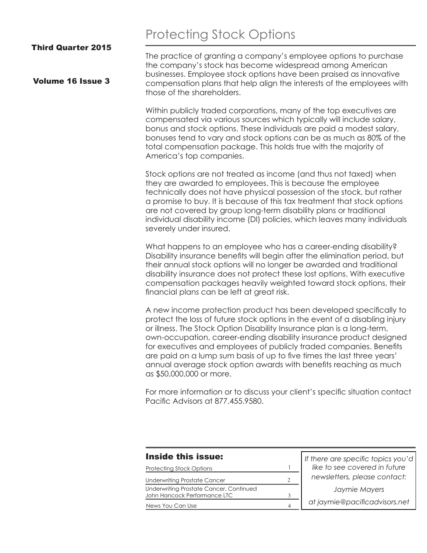# Protecting Stock Options

Third Quarter 2015

Volume 16 Issue 3

The practice of granting a company's employee options to purchase the company's stock has become widespread among American businesses. Employee stock options have been praised as innovative compensation plans that help align the interests of the employees with those of the shareholders.

Within publicly traded corporations, many of the top executives are compensated via various sources which typically will include salary, bonus and stock options. These individuals are paid a modest salary, bonuses tend to vary and stock options can be as much as 80% of the total compensation package. This holds true with the majority of America's top companies.

Stock options are not treated as income (and thus not taxed) when they are awarded to employees. This is because the employee technically does not have physical possession of the stock, but rather a promise to buy. It is because of this tax treatment that stock options are not covered by group long-term disability plans or traditional individual disability income (DI) policies, which leaves many individuals severely under insured.

What happens to an employee who has a career-ending disability? Disability insurance benefits will begin after the elimination period, but their annual stock options will no longer be awarded and traditional disability insurance does not protect these lost options. With executive compensation packages heavily weighted toward stock options, their financial plans can be left at great risk.

A new income protection product has been developed specifically to protect the loss of future stock options in the event of a disabling injury or illness. The Stock Option Disability Insurance plan is a long-term, own-occupation, career-ending disability insurance product designed for executives and employees of publicly traded companies. Benefits are paid on a lump sum basis of up to five times the last three years' annual average stock option awards with benefits reaching as much as \$50,000,000 or more.

For more information or to discuss your client's specific situation contact Pacific Advisors at 877.455.9580.

| <b>Inside this issue:</b>                                               | If there are specific topics you'd |  |
|-------------------------------------------------------------------------|------------------------------------|--|
| <b>Protecting Stock Options</b>                                         | like to see covered in future      |  |
| <b>Underwriting Prostate Cancer</b>                                     | newsletters, please contact:       |  |
| Underwriting Prostate Cancer, Continued<br>John Hancock Performance LTC | Jaymie Mayers                      |  |
| News You Can Use                                                        | at jaymie@pacificadvisors.net      |  |
|                                                                         |                                    |  |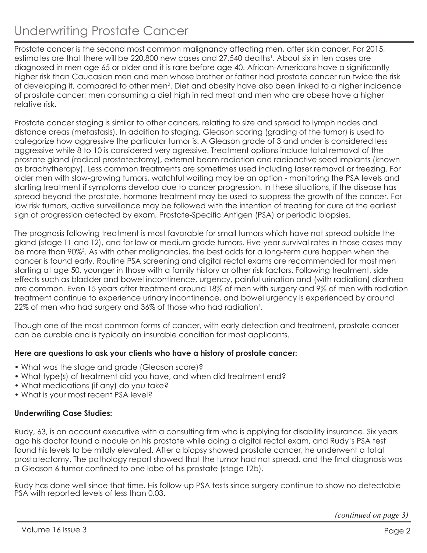# Underwriting Prostate Cancer

Prostate cancer is the second most common malignancy affecting men, after skin cancer. For 2015, estimates are that there will be 220,800 new cases and 27,540 deaths<sup>1</sup>. About six in ten cases are diagnosed in men age 65 or older and it is rare before age 40. African-Americans have a significantly higher risk than Caucasian men and men whose brother or father had prostate cancer run twice the risk of developing it, compared to other men<sup>2</sup>. Diet and obesity have also been linked to a higher incidence of prostate cancer; men consuming a diet high in red meat and men who are obese have a higher relative risk.

Prostate cancer staging is similar to other cancers, relating to size and spread to lymph nodes and distance areas (metastasis). In addition to staging, Gleason scoring (grading of the tumor) is used to categorize how aggressive the particular tumor is. A Gleason grade of 3 and under is considered less aggressive while 8 to 10 is considered very agressive. Treatment options include total removal of the prostate gland (radical prostatectomy), external beam radiation and radioactive seed implants (known as brachytherapy). Less common treatments are sometimes used including laser removal or freezing. For older men with slow-growing tumors, watchful waiting may be an option - monitoring the PSA levels and starting treatment if symptoms develop due to cancer progression. In these situations, if the disease has spread beyond the prostate, hormone treatment may be used to suppress the growth of the cancer. For low risk tumors, active surveillance may be followed with the intention of treating for cure at the earliest sign of progression detected by exam, Prostate-Specific Antigen (PSA) or periodic biopsies.

The prognosis following treatment is most favorable for small tumors which have not spread outside the gland (stage T1 and T2), and for low or medium grade tumors. Five-year survival rates in those cases may be more than 90%3. As with other malignancies, the best odds for a long-term cure happen when the cancer is found early. Routine PSA screening and digital rectal exams are recommended for most men starting at age 50, younger in those with a family history or other risk factors. Following treatment, side effects such as bladder and bowel incontinence, urgency, painful urination and (with radiation) diarrhea are common. Even 15 years after treatment around 18% of men with surgery and 9% of men with radiation treatment continue to experience urinary incontinence, and bowel urgency is experienced by around 22% of men who had surgery and 36% of those who had radiation<sup>4</sup> .

Though one of the most common forms of cancer, with early detection and treatment, prostate cancer can be curable and is typically an insurable condition for most applicants.

## **Here are questions to ask your clients who have a history of prostate cancer:**

- What was the stage and grade (Gleason score)?
- What type(s) of treatment did you have, and when did treatment end?
- What medications (if any) do you take?
- What is your most recent PSA level?

### **Underwriting Case Studies:**

Rudy, 63, is an account executive with a consulting firm who is applying for disability insurance. Six years ago his doctor found a nodule on his prostate while doing a digital rectal exam, and Rudy's PSA test found his levels to be mildly elevated. After a biopsy showed prostate cancer, he underwent a total prostatectomy. The pathology report showed that the tumor had not spread, and the final diagnosis was a Gleason 6 tumor confined to one lobe of his prostate (stage T2b).

Rudy has done well since that time. His follow-up PSA tests since surgery continue to show no detectable PSA with reported levels of less than 0.03.

*(continued on page 3)*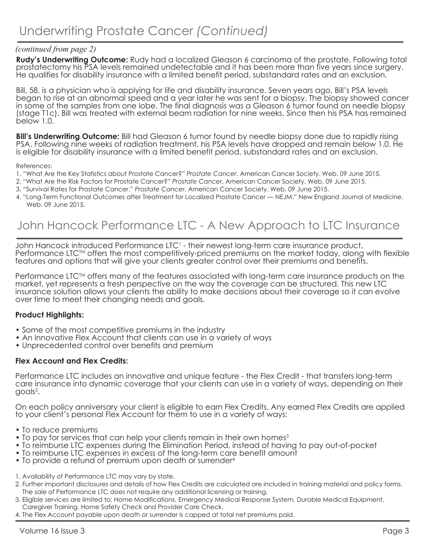## *(continued from page 2)*

**Rudy's Underwriting Outcome:** Rudy had a localized Gleason 6 carcinoma of the prostate. Following total prostatectomy his PSA levels remained undetectable and it has been more than five years since surgery. He qualifies for disability insurance with a limited benefit period, substandard rates and an exclusion.

Bill, 58, is a physician who is applying for life and disability insurance. Seven years ago, Bill's PSA levels began to rise at an abnormal speed and a year later he was sent for a biopsy. The biopsy showed cancer in some of the samples from one lobe. The final diagnosis was a Gleason 6 tumor found on needle biopsy (stage T1c). Bill was treated with external beam radiation for nine weeks. Since then his PSA has remained below 1.0.

**Bill's Underwriting Outcome:** Bill had Gleason 6 tumor found by needle biopsy done due to rapidly rising PSA. Following nine weeks of radiation treatment, his PSA levels have dropped and remain below 1.0. He is eligible for disability insurance with a limited benefit period, substandard rates and an exclusion.

References:

- 1. "What Are the Key Statistics about Prostate Cancer?" *Prostate Cancer*. American Cancer Society. Web. 09 June 2015.
- 2. "What Are the Risk Factors for Prostate Cancer?" *Prostate Cancer*. American Cancer Society. Web. 09 June 2015.
- 3. "Survival Rates for Prostate Cancer." *Prostate Cancer*. American Cancer Society. Web. 09 June 2015.
- 4. "Long-Term Functional Outcomes after Treatment for Localized Prostate Cancer NEJM." New England Journal of Medicine. Web. 09 June 2015.

## John Hancock Performance LTC - A New Approach to LTC Insurance

John Hancock introduced Performance LTC<sup>1</sup> - their newest long-term care insurance product. Performance LTC™ offers the most competitively-priced premiums on the market today, along with flexible features and options that will give your clients greater control over their premiums and benefits.

Performance LTC™ offers many of the features associated with long-term care insurance products on the market, yet represents a fresh perspective on the way the coverage can be structured. This new LTC insurance solution allows your clients the ability to make decisions about their coverage so it can evolve over time to meet their changing needs and goals.

### **Product Highlights:**

- Some of the most competitive premiums in the industry
- An innovative Flex Account that clients can use in a variety of ways
- Unprecedented control over benefits and premium

### **Flex Account and Flex Credits:**

Performance LTC includes an innovative and unique feature - the Flex Credit - that transfers long-term care insurance into dynamic coverage that your clients can use in a variety of ways, depending on their goals<sup>2</sup>.

On each policy anniversary your client is eligible to earn Flex Credits. Any earned Flex Credits are applied to your client's personal Flex Account for them to use in a variety of ways:

- To reduce premiums
- To pay for services that can help your clients remain in their own homes<sup>3</sup>
- To reimburse LTC expenses during the Elimination Period, instead of having to pay out-of-pocket
- To reimburse LTC expenses in excess of the long-term care benefit amount
- To provide a refund of premium upon death or surrender<sup>4</sup>
- 1. Availability of Performance LTC may vary by state.
- 2. Further important disclosures and details of how Flex Credits are calculated are included in training material and policy forms. The sale of Performance LTC does not require any additional licensing or training.
- 3. Eligible services are limited to: Home Modifications, Emergency Medical Response System, Durable Medical Equipment,
- Caregiver Training, Home Safety Check and Provider Care Check.
- 4. The Flex Account payable upon death or surrender is capped at total net premiums paid.